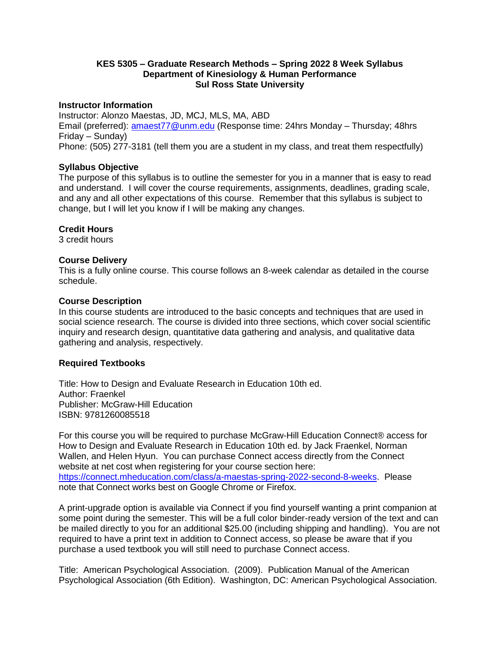## **KES 5305 – Graduate Research Methods – Spring 2022 8 Week Syllabus Department of Kinesiology & Human Performance Sul Ross State University**

#### **Instructor Information**

Instructor: Alonzo Maestas, JD, MCJ, MLS, MA, ABD Email (preferred): [amaest77@unm.edu](mailto:amaest77@unm.edu) (Response time: 24hrs Monday – Thursday; 48hrs Friday – Sunday) Phone: (505) 277-3181 (tell them you are a student in my class, and treat them respectfully)

#### **Syllabus Objective**

The purpose of this syllabus is to outline the semester for you in a manner that is easy to read and understand. I will cover the course requirements, assignments, deadlines, grading scale, and any and all other expectations of this course. Remember that this syllabus is subject to change, but I will let you know if I will be making any changes.

# **Credit Hours**

3 credit hours

#### **Course Delivery**

This is a fully online course. This course follows an 8-week calendar as detailed in the course schedule.

#### **Course Description**

In this course students are introduced to the basic concepts and techniques that are used in social science research. The course is divided into three sections, which cover social scientific inquiry and research design, quantitative data gathering and analysis, and qualitative data gathering and analysis, respectively.

#### **Required Textbooks**

Title: How to Design and Evaluate Research in Education 10th ed. Author: Fraenkel Publisher: McGraw-Hill Education ISBN: 9781260085518

For this course you will be required to purchase McGraw-Hill Education Connect® access for How to Design and Evaluate Research in Education 10th ed. by Jack Fraenkel, Norman Wallen, and Helen Hyun. You can purchase Connect access directly from the Connect website at net cost when registering for your course section here: [https://connect.mheducation.com/class/a-maestas-spring-2022-second-8-weeks.](https://connect.mheducation.com/class/a-maestas-spring-2022-second-8-weeks) Please note that Connect works best on Google Chrome or Firefox.

A print-upgrade option is available via Connect if you find yourself wanting a print companion at some point during the semester. This will be a full color binder-ready version of the text and can be mailed directly to you for an additional \$25.00 (including shipping and handling). You are not required to have a print text in addition to Connect access, so please be aware that if you purchase a used textbook you will still need to purchase Connect access.

Title: American Psychological Association. (2009). Publication Manual of the American Psychological Association (6th Edition). Washington, DC: American Psychological Association.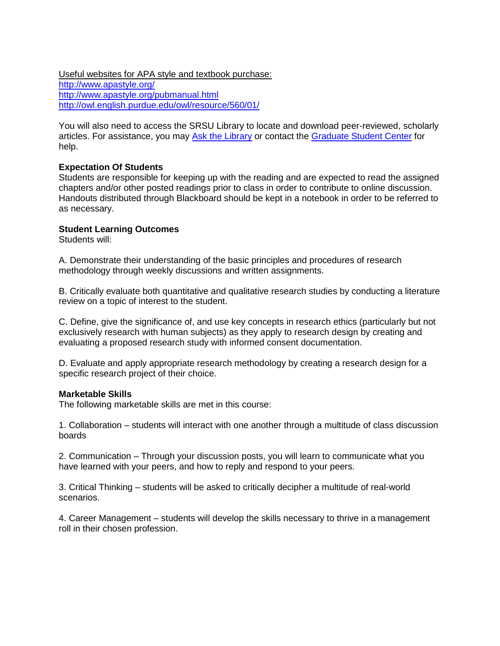Useful websites for APA style and textbook purchase: <http://www.apastyle.org/> <http://www.apastyle.org/pubmanual.html> <http://owl.english.purdue.edu/owl/resource/560/01/>

You will also need to access the SRSU Library to locate and download peer-reviewed, scholarly articles. For assistance, you may [Ask the Library](http://sulross.libanswers.com/) or contact the [Graduate Student Center](http://www.sulross.edu/section/309/graduate-student-center) for help.

# **Expectation Of Students**

Students are responsible for keeping up with the reading and are expected to read the assigned chapters and/or other posted readings prior to class in order to contribute to online discussion. Handouts distributed through Blackboard should be kept in a notebook in order to be referred to as necessary.

# **Student Learning Outcomes**

Students will:

A. Demonstrate their understanding of the basic principles and procedures of research methodology through weekly discussions and written assignments.

B. Critically evaluate both quantitative and qualitative research studies by conducting a literature review on a topic of interest to the student.

C. Define, give the significance of, and use key concepts in research ethics (particularly but not exclusively research with human subjects) as they apply to research design by creating and evaluating a proposed research study with informed consent documentation.

D. Evaluate and apply appropriate research methodology by creating a research design for a specific research project of their choice.

#### **Marketable Skills**

The following marketable skills are met in this course:

1. Collaboration – students will interact with one another through a multitude of class discussion boards

2. Communication – Through your discussion posts, you will learn to communicate what you have learned with your peers, and how to reply and respond to your peers.

3. Critical Thinking – students will be asked to critically decipher a multitude of real-world scenarios.

4. Career Management – students will develop the skills necessary to thrive in a management roll in their chosen profession.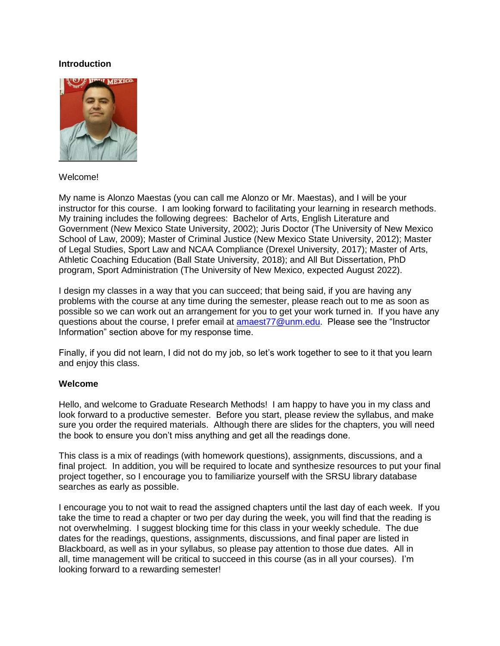#### **Introduction**



# Welcome!

My name is Alonzo Maestas (you can call me Alonzo or Mr. Maestas), and I will be your instructor for this course. I am looking forward to facilitating your learning in research methods. My training includes the following degrees: Bachelor of Arts, English Literature and Government (New Mexico State University, 2002); Juris Doctor (The University of New Mexico School of Law, 2009); Master of Criminal Justice (New Mexico State University, 2012); Master of Legal Studies, Sport Law and NCAA Compliance (Drexel University, 2017); Master of Arts, Athletic Coaching Education (Ball State University, 2018); and All But Dissertation, PhD program, Sport Administration (The University of New Mexico, expected August 2022).

I design my classes in a way that you can succeed; that being said, if you are having any problems with the course at any time during the semester, please reach out to me as soon as possible so we can work out an arrangement for you to get your work turned in. If you have any questions about the course, I prefer email at [amaest77@unm.edu.](mailto:amaest77@unm.edu) Please see the "Instructor Information" section above for my response time.

Finally, if you did not learn, I did not do my job, so let's work together to see to it that you learn and enjoy this class.

#### **Welcome**

Hello, and welcome to Graduate Research Methods! I am happy to have you in my class and look forward to a productive semester. Before you start, please review the syllabus, and make sure you order the required materials. Although there are slides for the chapters, you will need the book to ensure you don't miss anything and get all the readings done.

This class is a mix of readings (with homework questions), assignments, discussions, and a final project. In addition, you will be required to locate and synthesize resources to put your final project together, so I encourage you to familiarize yourself with the SRSU library database searches as early as possible.

I encourage you to not wait to read the assigned chapters until the last day of each week. If you take the time to read a chapter or two per day during the week, you will find that the reading is not overwhelming. I suggest blocking time for this class in your weekly schedule. The due dates for the readings, questions, assignments, discussions, and final paper are listed in Blackboard, as well as in your syllabus, so please pay attention to those due dates. All in all, time management will be critical to succeed in this course (as in all your courses). I'm looking forward to a rewarding semester!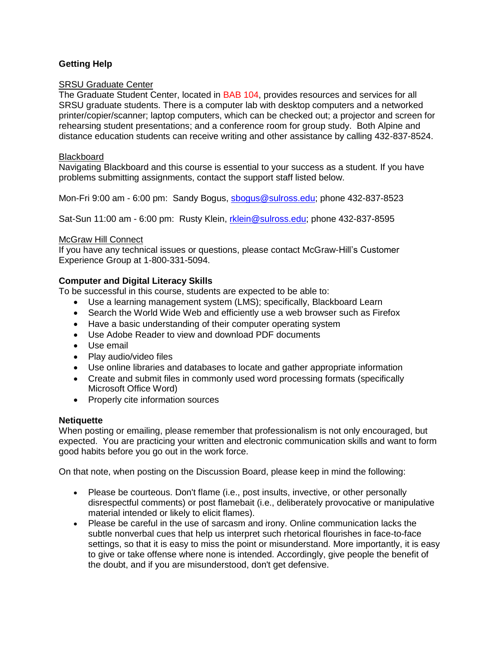# **Getting Help**

# **SRSU Graduate Center**

The Graduate Student Center, located in BAB 104, provides resources and services for all SRSU graduate students. There is a computer lab with desktop computers and a networked printer/copier/scanner; laptop computers, which can be checked out; a projector and screen for rehearsing student presentations; and a conference room for group study. Both Alpine and distance education students can receive writing and other assistance by calling 432-837-8524.

#### Blackboard

Navigating Blackboard and this course is essential to your success as a student. If you have problems submitting assignments, contact the support staff listed below.

Mon-Fri 9:00 am - 6:00 pm: Sandy Bogus, [sbogus@sulross.edu;](mailto:sbogus@sulross.edu) phone 432-837-8523

Sat-Sun 11:00 am - 6:00 pm: Rusty Klein, [rklein@sulross.edu;](mailto:rklein@sulross.edu) phone 432-837-8595

# McGraw Hill Connect

If you have any technical issues or questions, please contact McGraw-Hill's Customer Experience Group at 1-800-331-5094.

# **Computer and Digital Literacy Skills**

To be successful in this course, students are expected to be able to:

- Use a learning management system (LMS); specifically, Blackboard Learn
- Search the World Wide Web and efficiently use a web browser such as Firefox
- Have a basic understanding of their computer operating system
- Use Adobe Reader to view and download PDF documents
- Use email
- Play audio/video files
- Use online libraries and databases to locate and gather appropriate information
- Create and submit files in commonly used word processing formats (specifically Microsoft Office Word)
- Properly cite information sources

#### **Netiquette**

When posting or emailing, please remember that professionalism is not only encouraged, but expected. You are practicing your written and electronic communication skills and want to form good habits before you go out in the work force.

On that note, when posting on the Discussion Board, please keep in mind the following:

- Please be courteous. Don't flame (i.e., post insults, invective, or other personally disrespectful comments) or post flamebait (i.e., deliberately provocative or manipulative material intended or likely to elicit flames).
- Please be careful in the use of sarcasm and irony. Online communication lacks the subtle nonverbal cues that help us interpret such rhetorical flourishes in face-to-face settings, so that it is easy to miss the point or misunderstand. More importantly, it is easy to give or take offense where none is intended. Accordingly, give people the benefit of the doubt, and if you are misunderstood, don't get defensive.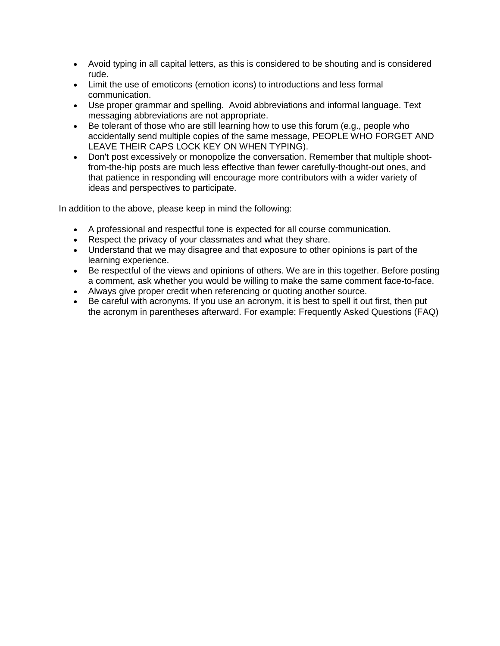- Avoid typing in all capital letters, as this is considered to be shouting and is considered rude.
- Limit the use of emoticons (emotion icons) to introductions and less formal communication.
- Use proper grammar and spelling. Avoid abbreviations and informal language. Text messaging abbreviations are not appropriate.
- Be tolerant of those who are still learning how to use this forum (e.g., people who accidentally send multiple copies of the same message, PEOPLE WHO FORGET AND LEAVE THEIR CAPS LOCK KEY ON WHEN TYPING).
- Don't post excessively or monopolize the conversation. Remember that multiple shootfrom-the-hip posts are much less effective than fewer carefully-thought-out ones, and that patience in responding will encourage more contributors with a wider variety of ideas and perspectives to participate.

In addition to the above, please keep in mind the following:

- A professional and respectful tone is expected for all course communication.
- Respect the privacy of your classmates and what they share.
- Understand that we may disagree and that exposure to other opinions is part of the learning experience.
- Be respectful of the views and opinions of others. We are in this together. Before posting a comment, ask whether you would be willing to make the same comment face-to-face.
- Always give proper credit when referencing or quoting another source.
- Be careful with acronyms. If you use an acronym, it is best to spell it out first, then put the acronym in parentheses afterward. For example: Frequently Asked Questions (FAQ)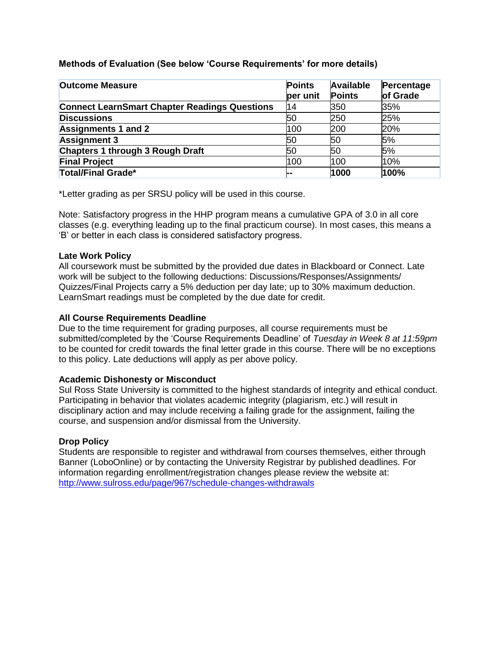# **Methods of Evaluation (See below 'Course Requirements' for more details)**

| <b>Outcome Measure</b>                               | <b>Points</b><br>per unit | <b>Available</b><br><b>Points</b> | Percentage<br>of Grade |
|------------------------------------------------------|---------------------------|-----------------------------------|------------------------|
| <b>Connect LearnSmart Chapter Readings Questions</b> | 14                        | 350                               | 35%                    |
| <b>Discussions</b>                                   | 50                        | 250                               | 25%                    |
| <b>Assignments 1 and 2</b>                           | 100                       | 200                               | 20%                    |
| <b>Assignment 3</b>                                  | 50                        | 50                                | 5%                     |
| <b>Chapters 1 through 3 Rough Draft</b>              | 50                        | 50                                | 5%                     |
| <b>Final Project</b>                                 | 100                       | 100                               | 10%                    |
| <b>Total/Final Grade*</b>                            | --                        | 1000                              | 100%                   |

\*Letter grading as per SRSU policy will be used in this course.

Note: Satisfactory progress in the HHP program means a cumulative GPA of 3.0 in all core classes (e.g. everything leading up to the final practicum course). In most cases, this means a 'B' or better in each class is considered satisfactory progress.

# **Late Work Policy**

All coursework must be submitted by the provided due dates in Blackboard or Connect. Late work will be subject to the following deductions: Discussions/Responses/Assignments/ Quizzes/Final Projects carry a 5% deduction per day late; up to 30% maximum deduction. LearnSmart readings must be completed by the due date for credit.

# **All Course Requirements Deadline**

Due to the time requirement for grading purposes, all course requirements must be submitted/completed by the 'Course Requirements Deadline' of *Tuesday in Week 8 at 11:59pm*  to be counted for credit towards the final letter grade in this course. There will be no exceptions to this policy. Late deductions will apply as per above policy.

# **Academic Dishonesty or Misconduct**

Sul Ross State University is committed to the highest standards of integrity and ethical conduct. Participating in behavior that violates academic integrity (plagiarism, etc.) will result in disciplinary action and may include receiving a failing grade for the assignment, failing the course, and suspension and/or dismissal from the University.

# **Drop Policy**

Students are responsible to register and withdrawal from courses themselves, either through Banner (LoboOnline) or by contacting the University Registrar by published deadlines. For information regarding enrollment/registration changes please review the website at: <http://www.sulross.edu/page/967/schedule-changes-withdrawals>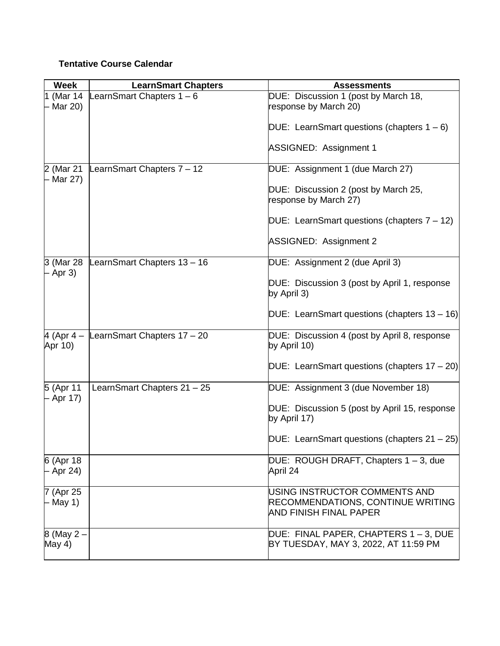# **Tentative Course Calendar**

| <b>Week</b>             | <b>LearnSmart Chapters</b>  | <b>Assessments</b>                                                                                  |
|-------------------------|-----------------------------|-----------------------------------------------------------------------------------------------------|
| 1 (Mar 14<br>Mar 20)    | LearnSmart Chapters 1 - 6   | DUE: Discussion 1 (post by March 18,<br>response by March 20)                                       |
|                         |                             | DUE: LearnSmart questions (chapters $1 - 6$ )                                                       |
|                         |                             | <b>ASSIGNED: Assignment 1</b>                                                                       |
| 2 (Mar 21<br>- Mar 27)  | LearnSmart Chapters 7 - 12  | DUE: Assignment 1 (due March 27)                                                                    |
|                         |                             | DUE: Discussion 2 (post by March 25,<br>response by March 27)                                       |
|                         |                             | DUE: LearnSmart questions (chapters $7 - 12$ )                                                      |
|                         |                             | <b>ASSIGNED: Assignment 2</b>                                                                       |
| 3 (Mar 28<br>Apr 3)     | LearnSmart Chapters 13 - 16 | DUE: Assignment 2 (due April 3)                                                                     |
|                         |                             | DUE: Discussion 3 (post by April 1, response<br>by April 3)                                         |
|                         |                             | DUE: LearnSmart questions (chapters $13 - 16$ )                                                     |
| 4 (Apr $4 -$<br>Apr 10) | LearnSmart Chapters 17 - 20 | DUE: Discussion 4 (post by April 8, response<br>by April 10)                                        |
|                         |                             | DUE: LearnSmart questions (chapters $17 - 20$ )                                                     |
| 5 (Apr 11<br>– Apr 17)  | LearnSmart Chapters 21 - 25 | DUE: Assignment 3 (due November 18)                                                                 |
|                         |                             | DUE: Discussion 5 (post by April 15, response<br>by April 17)                                       |
|                         |                             | $DUE:$ LearnSmart questions (chapters 21 - 25)                                                      |
| 6 (Apr 18<br>– Apr 24)  |                             | DUE: ROUGH DRAFT, Chapters 1 – 3, due<br>April 24                                                   |
| 7 (Apr 25<br>- May 1)   |                             | USING INSTRUCTOR COMMENTS AND<br><b>RECOMMENDATIONS, CONTINUE WRITING</b><br>AND FINISH FINAL PAPER |
| 8 (May 2 -<br>May 4)    |                             | DUE: FINAL PAPER, CHAPTERS 1-3, DUE<br>BY TUESDAY, MAY 3, 2022, AT 11:59 PM                         |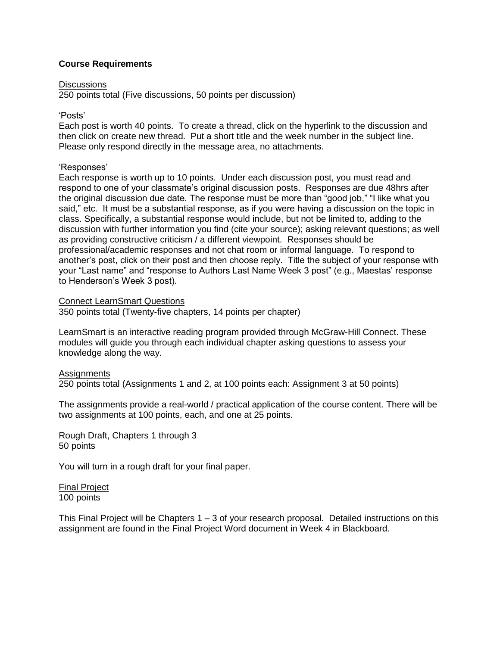# **Course Requirements**

#### Discussions

250 points total (Five discussions, 50 points per discussion)

## 'Posts'

Each post is worth 40 points. To create a thread, click on the hyperlink to the discussion and then click on create new thread. Put a short title and the week number in the subject line. Please only respond directly in the message area, no attachments.

# 'Responses'

Each response is worth up to 10 points. Under each discussion post, you must read and respond to one of your classmate's original discussion posts. Responses are due 48hrs after the original discussion due date. The response must be more than "good job," "I like what you said," etc. It must be a substantial response, as if you were having a discussion on the topic in class. Specifically, a substantial response would include, but not be limited to, adding to the discussion with further information you find (cite your source); asking relevant questions; as well as providing constructive criticism / a different viewpoint. Responses should be professional/academic responses and not chat room or informal language. To respond to another's post, click on their post and then choose reply. Title the subject of your response with your "Last name" and "response to Authors Last Name Week 3 post" (e.g., Maestas' response to Henderson's Week 3 post).

#### Connect LearnSmart Questions

350 points total (Twenty-five chapters, 14 points per chapter)

LearnSmart is an interactive reading program provided through McGraw-Hill Connect. These modules will guide you through each individual chapter asking questions to assess your knowledge along the way.

# **Assignments**

250 points total (Assignments 1 and 2, at 100 points each: Assignment 3 at 50 points)

The assignments provide a real-world / practical application of the course content. There will be two assignments at 100 points, each, and one at 25 points.

Rough Draft, Chapters 1 through 3 50 points

You will turn in a rough draft for your final paper.

Final Project 100 points

This Final Project will be Chapters  $1 - 3$  of your research proposal. Detailed instructions on this assignment are found in the Final Project Word document in Week 4 in Blackboard.